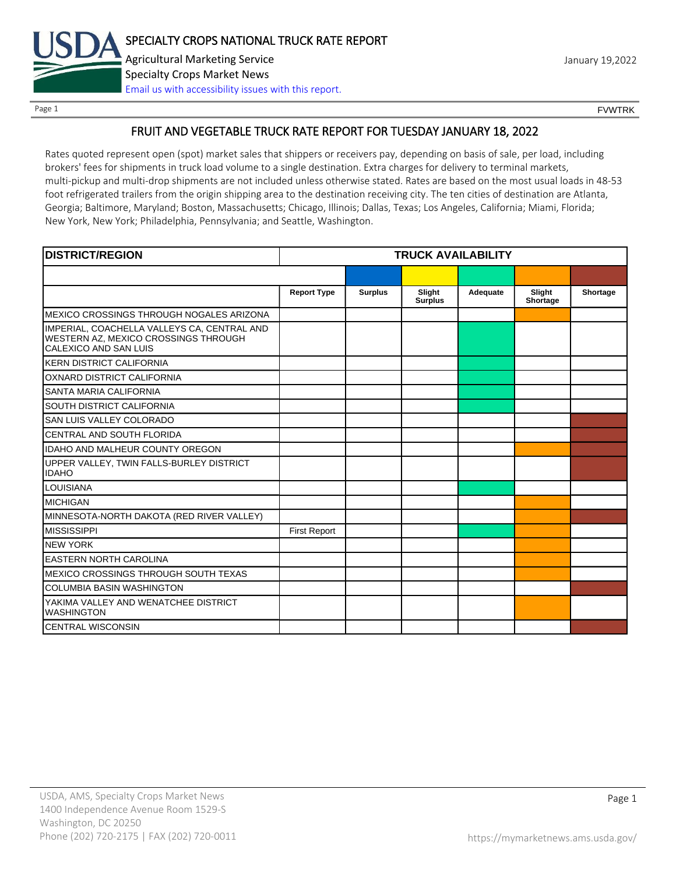

Page 1 FOUNTRK CONTROL CONTROL CONTROL CONTROL CONTROL CONTROL CONTROL CONTROL CONTROL CONTROL CONTROL CONTROL CONTROL CONTROL CONTROL CONTROL CONTROL CONTROL CONTROL CONTROL CONTROL CONTROL CONTROL CONTROL CONTROL CONTROL

## FRUIT AND VEGETABLE TRUCK RATE REPORT FOR TUESDAY JANUARY 18, 2022

Rates quoted represent open (spot) market sales that shippers or receivers pay, depending on basis of sale, per load, including brokers' fees for shipments in truck load volume to a single destination. Extra charges for delivery to terminal markets, multi-pickup and multi-drop shipments are not included unless otherwise stated. Rates are based on the most usual loads in 48-53 foot refrigerated trailers from the origin shipping area to the destination receiving city. The ten cities of destination are Atlanta, Georgia; Baltimore, Maryland; Boston, Massachusetts; Chicago, Illinois; Dallas, Texas; Los Angeles, California; Miami, Florida; New York, New York; Philadelphia, Pennsylvania; and Seattle, Washington.

| <b>DISTRICT/REGION</b>                                                                                       |                     |                | <b>TRUCK AVAILABILITY</b> |          |                    |          |
|--------------------------------------------------------------------------------------------------------------|---------------------|----------------|---------------------------|----------|--------------------|----------|
|                                                                                                              |                     |                |                           |          |                    |          |
|                                                                                                              | <b>Report Type</b>  | <b>Surplus</b> | Slight<br><b>Surplus</b>  | Adequate | Slight<br>Shortage | Shortage |
| MEXICO CROSSINGS THROUGH NOGALES ARIZONA                                                                     |                     |                |                           |          |                    |          |
| IMPERIAL, COACHELLA VALLEYS CA, CENTRAL AND<br>WESTERN AZ, MEXICO CROSSINGS THROUGH<br>CALEXICO AND SAN LUIS |                     |                |                           |          |                    |          |
| <b>KERN DISTRICT CALIFORNIA</b>                                                                              |                     |                |                           |          |                    |          |
| OXNARD DISTRICT CALIFORNIA                                                                                   |                     |                |                           |          |                    |          |
| SANTA MARIA CALIFORNIA                                                                                       |                     |                |                           |          |                    |          |
| <b>SOUTH DISTRICT CALIFORNIA</b>                                                                             |                     |                |                           |          |                    |          |
| SAN LUIS VALLEY COLORADO                                                                                     |                     |                |                           |          |                    |          |
| CENTRAL AND SOUTH FLORIDA                                                                                    |                     |                |                           |          |                    |          |
| <b>IDAHO AND MALHEUR COUNTY OREGON</b>                                                                       |                     |                |                           |          |                    |          |
| UPPER VALLEY, TWIN FALLS-BURLEY DISTRICT<br><b>IDAHO</b>                                                     |                     |                |                           |          |                    |          |
| <b>LOUISIANA</b>                                                                                             |                     |                |                           |          |                    |          |
| <b>MICHIGAN</b>                                                                                              |                     |                |                           |          |                    |          |
| MINNESOTA-NORTH DAKOTA (RED RIVER VALLEY)                                                                    |                     |                |                           |          |                    |          |
| <b>MISSISSIPPI</b>                                                                                           | <b>First Report</b> |                |                           |          |                    |          |
| <b>NEW YORK</b>                                                                                              |                     |                |                           |          |                    |          |
| <b>EASTERN NORTH CAROLINA</b>                                                                                |                     |                |                           |          |                    |          |
| MEXICO CROSSINGS THROUGH SOUTH TEXAS                                                                         |                     |                |                           |          |                    |          |
| <b>COLUMBIA BASIN WASHINGTON</b>                                                                             |                     |                |                           |          |                    |          |
| YAKIMA VALLEY AND WENATCHEE DISTRICT<br><b>WASHINGTON</b>                                                    |                     |                |                           |          |                    |          |
| <b>CENTRAL WISCONSIN</b>                                                                                     |                     |                |                           |          |                    |          |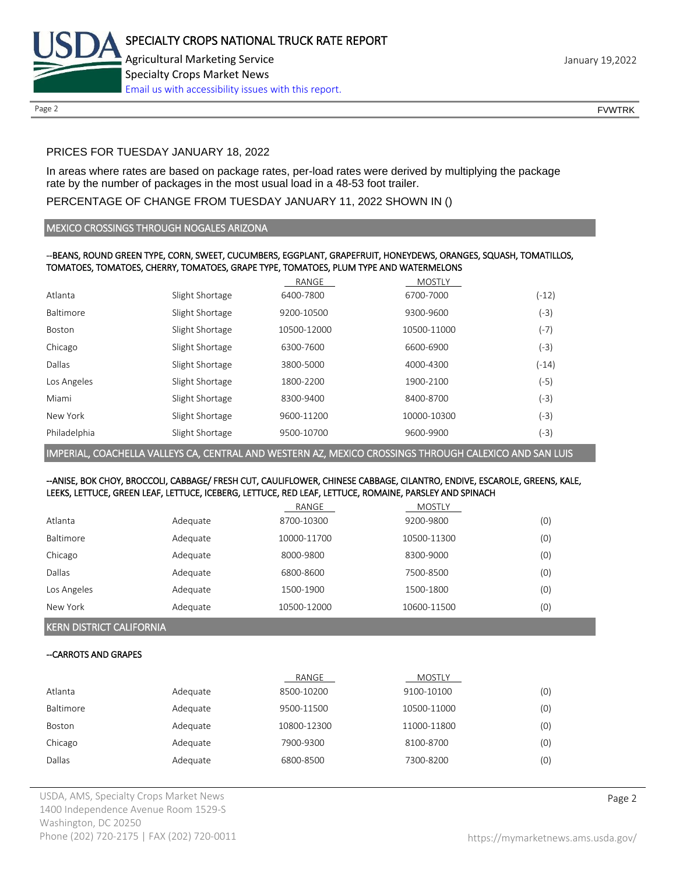

Page 2 FOUNTRK CONTROL CONTROL CONTROL CONTROL CONTROL CONTROL CONTROL CONTROL CONTROL CONTROL CONTROL CONTROL CONTROL CONTROL CONTROL CONTROL CONTROL CONTROL CONTROL CONTROL CONTROL CONTROL CONTROL CONTROL CONTROL CONTROL

## PRICES FOR TUESDAY JANUARY 18, 2022

In areas where rates are based on package rates, per-load rates were derived by multiplying the package rate by the number of packages in the most usual load in a 48-53 foot trailer.

## PERCENTAGE OF CHANGE FROM TUESDAY JANUARY 11, 2022 SHOWN IN ()

## MEXICO CROSSINGS THROUGH NOGALES ARIZONA

## --BEANS, ROUND GREEN TYPE, CORN, SWEET, CUCUMBERS, EGGPLANT, GRAPEFRUIT, HONEYDEWS, ORANGES, SQUASH, TOMATILLOS, TOMATOES, TOMATOES, CHERRY, TOMATOES, GRAPE TYPE, TOMATOES, PLUM TYPE AND WATERMELONS

|                 | RANGE       | <b>MOSTLY</b> |         |
|-----------------|-------------|---------------|---------|
| Slight Shortage | 6400-7800   | 6700-7000     | $(-12)$ |
| Slight Shortage | 9200-10500  | 9300-9600     | (-3)    |
| Slight Shortage | 10500-12000 | 10500-11000   | $(-7)$  |
| Slight Shortage | 6300-7600   | 6600-6900     | (-3)    |
| Slight Shortage | 3800-5000   | 4000-4300     | $(-14)$ |
| Slight Shortage | 1800-2200   | 1900-2100     | (-5)    |
| Slight Shortage | 8300-9400   | 8400-8700     | (-3)    |
| Slight Shortage | 9600-11200  | 10000-10300   | (-3)    |
| Slight Shortage | 9500-10700  | 9600-9900     | (-3)    |
|                 |             |               |         |

IMPERIAL, COACHELLA VALLEYS CA, CENTRAL AND WESTERN AZ, MEXICO CROSSINGS THROUGH CALEXICO AND SAN LUIS

## --ANISE, BOK CHOY, BROCCOLI, CABBAGE/ FRESH CUT, CAULIFLOWER, CHINESE CABBAGE, CILANTRO, ENDIVE, ESCAROLE, GREENS, KALE, LEEKS, LETTUCE, GREEN LEAF, LETTUCE, ICEBERG, LETTUCE, RED LEAF, LETTUCE, ROMAINE, PARSLEY AND SPINACH

|             |          | RANGE       | <b>MOSTLY</b> |     |
|-------------|----------|-------------|---------------|-----|
| Atlanta     | Adequate | 8700-10300  | 9200-9800     | (0) |
| Baltimore   | Adequate | 10000-11700 | 10500-11300   | (0) |
| Chicago     | Adequate | 8000-9800   | 8300-9000     | (0) |
| Dallas      | Adequate | 6800-8600   | 7500-8500     | (0) |
| Los Angeles | Adequate | 1500-1900   | 1500-1800     | (0) |
| New York    | Adequate | 10500-12000 | 10600-11500   | (0) |

KERN DISTRICT CALIFORNIA

## --CARROTS AND GRAPES

|           |          | RANGE       | <b>MOSTLY</b> |     |
|-----------|----------|-------------|---------------|-----|
| Atlanta   | Adequate | 8500-10200  | 9100-10100    | (0) |
| Baltimore | Adequate | 9500-11500  | 10500-11000   | (0) |
| Boston    | Adequate | 10800-12300 | 11000-11800   | (0) |
| Chicago   | Adequate | 7900-9300   | 8100-8700     | (0) |
| Dallas    | Adequate | 6800-8500   | 7300-8200     | (0) |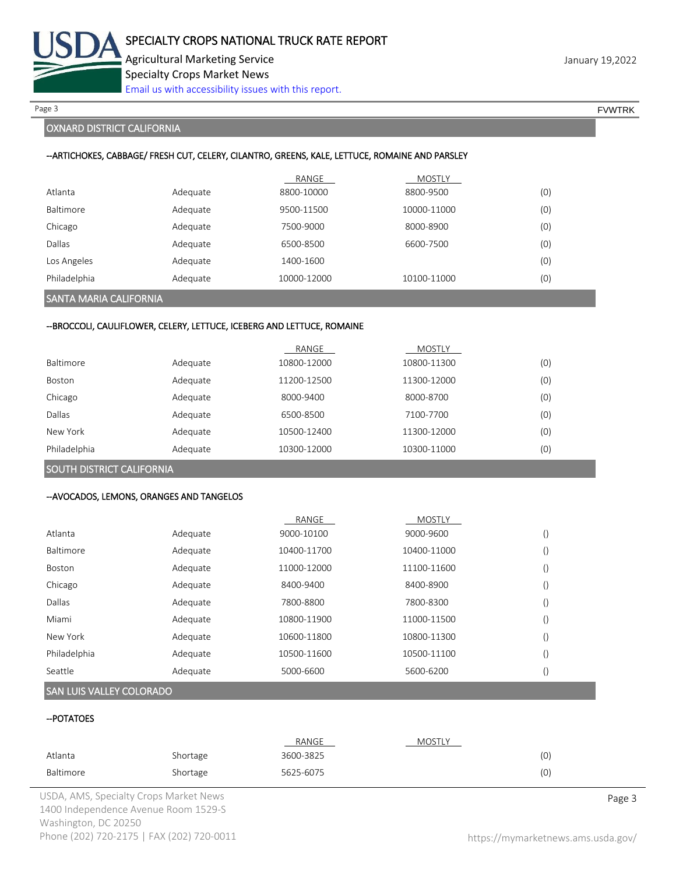

Page 3 FOUNTRK And the set of the set of the set of the set of the set of the set of the set of the set of the set of the set of the set of the set of the set of the set of the set of the set of the set of the set of the s

## OXNARD DISTRICT CALIFORNIA

## --ARTICHOKES, CABBAGE/ FRESH CUT, CELERY, CILANTRO, GREENS, KALE, LETTUCE, ROMAINE AND PARSLEY

|              |          | RANGE       | <b>MOSTLY</b> |     |
|--------------|----------|-------------|---------------|-----|
| Atlanta      | Adequate | 8800-10000  | 8800-9500     | (0) |
| Baltimore    | Adequate | 9500-11500  | 10000-11000   | (0) |
| Chicago      | Adequate | 7500-9000   | 8000-8900     | (0) |
| Dallas       | Adequate | 6500-8500   | 6600-7500     | (0) |
| Los Angeles  | Adequate | 1400-1600   |               | (0) |
| Philadelphia | Adequate | 10000-12000 | 10100-11000   | (0) |

## SANTA MARIA CALIFORNIA

#### --BROCCOLI, CAULIFLOWER, CELERY, LETTUCE, ICEBERG AND LETTUCE, ROMAINE

|              |          | RANGE       | <b>MOSTLY</b> |     |
|--------------|----------|-------------|---------------|-----|
| Baltimore    | Adequate | 10800-12000 | 10800-11300   | (0) |
| Boston       | Adequate | 11200-12500 | 11300-12000   | (0) |
| Chicago      | Adequate | 8000-9400   | 8000-8700     | (0) |
| Dallas       | Adequate | 6500-8500   | 7100-7700     | (0) |
| New York     | Adequate | 10500-12400 | 11300-12000   | (0) |
| Philadelphia | Adequate | 10300-12000 | 10300-11000   | (0) |

## SOUTH DISTRICT CALIFORNIA

#### --AVOCADOS, LEMONS, ORANGES AND TANGELOS

|                  |          | RANGE       | <b>MOSTLY</b> |  |
|------------------|----------|-------------|---------------|--|
| Atlanta          | Adequate | 9000-10100  | 9000-9600     |  |
| <b>Baltimore</b> | Adequate | 10400-11700 | 10400-11000   |  |
| Boston           | Adequate | 11000-12000 | 11100-11600   |  |
| Chicago          | Adequate | 8400-9400   | 8400-8900     |  |
| Dallas           | Adequate | 7800-8800   | 7800-8300     |  |
| Miami            | Adequate | 10800-11900 | 11000-11500   |  |
| New York         | Adequate | 10600-11800 | 10800-11300   |  |
| Philadelphia     | Adequate | 10500-11600 | 10500-11100   |  |
| Seattle          | Adequate | 5000-6600   | 5600-6200     |  |

## SAN LUIS VALLEY COLORADO

## --POTATOES

|           |          | RANGE     | MOSTLY |    |
|-----------|----------|-----------|--------|----|
| Atlanta   | Shortage | 3600-3825 |        | 10 |
| Baltimore | Shortage | 5625-6075 |        | 10 |

USDA, AMS, Specialty Crops Market News **Page 3** 1400 Independence Avenue Room 1529-S Washington, DC 20250 Phone (202) 720-2175 | FAX (202) 720-0011 <https://mymarketnews.ams.usda.gov/>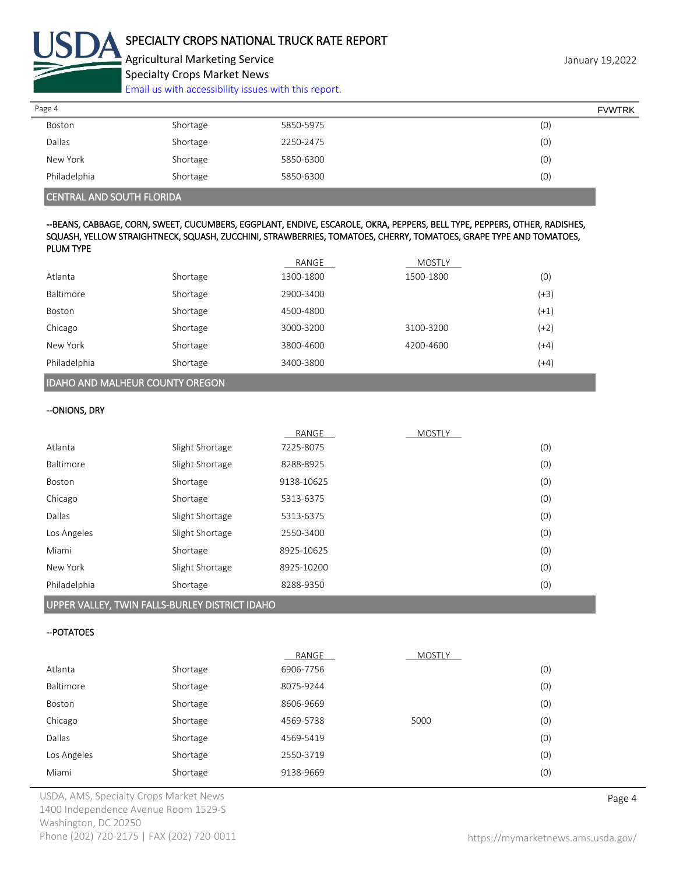

Agricultural Marketing Service **Agricultural Marketing Service** January 19,2022 Specialty Crops Market News

[Email us with accessibility issues with this report.](mailto:mars@ams.usda.gov?subject=508%20Inquiry/Report)

| Page 4       |          |           | <b>FVWTRK</b> |
|--------------|----------|-----------|---------------|
| Boston       | Shortage | 5850-5975 | (0)           |
| Dallas       | Shortage | 2250-2475 | (0)           |
| New York     | Shortage | 5850-6300 | (0)           |
| Philadelphia | Shortage | 5850-6300 | (0)           |

## CENTRAL AND SOUTH FLORIDA

## --BEANS, CABBAGE, CORN, SWEET, CUCUMBERS, EGGPLANT, ENDIVE, ESCAROLE, OKRA, PEPPERS, BELL TYPE, PEPPERS, OTHER, RADISHES, SQUASH, YELLOW STRAIGHTNECK, SQUASH, ZUCCHINI, STRAWBERRIES, TOMATOES, CHERRY, TOMATOES, GRAPE TYPE AND TOMATOES, PLUM TYPE

|              |          | RANGE     | <b>MOSTLY</b> |        |
|--------------|----------|-----------|---------------|--------|
| Atlanta      | Shortage | 1300-1800 | 1500-1800     | (0)    |
| Baltimore    | Shortage | 2900-3400 |               | $(+3)$ |
| Boston       | Shortage | 4500-4800 |               | $(+1)$ |
| Chicago      | Shortage | 3000-3200 | 3100-3200     | $(+2)$ |
| New York     | Shortage | 3800-4600 | 4200-4600     | $(+4)$ |
| Philadelphia | Shortage | 3400-3800 |               | $(+4)$ |
|              |          |           |               |        |

# IDAHO AND MALHEUR COUNTY OREGON

#### --ONIONS, DRY

|              |                 | RANGE      | <b>MOSTLY</b> |     |
|--------------|-----------------|------------|---------------|-----|
| Atlanta      | Slight Shortage | 7225-8075  |               | (0) |
| Baltimore    | Slight Shortage | 8288-8925  |               | (0) |
| Boston       | Shortage        | 9138-10625 |               | (0) |
| Chicago      | Shortage        | 5313-6375  |               | (0) |
| Dallas       | Slight Shortage | 5313-6375  |               | (0) |
| Los Angeles  | Slight Shortage | 2550-3400  |               | (0) |
| Miami        | Shortage        | 8925-10625 |               | (0) |
| New York     | Slight Shortage | 8925-10200 |               | (0) |
| Philadelphia | Shortage        | 8288-9350  |               | (0) |
|              |                 |            |               |     |

## UPPER VALLEY, TWIN FALLS-BURLEY DISTRICT IDAHO

#### --POTATOES

|             |          | RANGE     | <b>MOSTLY</b> |     |
|-------------|----------|-----------|---------------|-----|
| Atlanta     | Shortage | 6906-7756 |               | (0) |
| Baltimore   | Shortage | 8075-9244 |               | (0) |
| Boston      | Shortage | 8606-9669 |               | (0) |
| Chicago     | Shortage | 4569-5738 | 5000          | (0) |
| Dallas      | Shortage | 4569-5419 |               | (0) |
| Los Angeles | Shortage | 2550-3719 |               | (0) |
| Miami       | Shortage | 9138-9669 |               | (0) |

USDA, AMS, Specialty Crops Market News **Page 4** 1400 Independence Avenue Room 1529-S Washington, DC 20250 Phone (202) 720-2175 | FAX (202) 720-0011 <https://mymarketnews.ams.usda.gov/>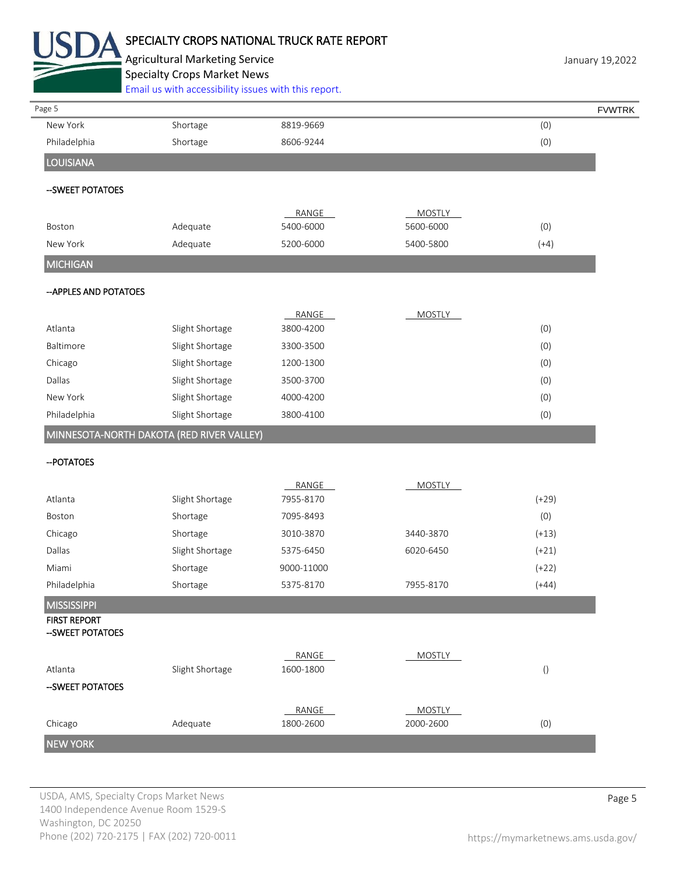

# SPECIALTY CROPS NATIONAL TRUCK RATE REPORT

Agricultural Marketing Service **Agricultural Marketing Service** January 19,2022 Specialty Crops Market News [Email us with accessibility issues with this report.](mailto:mars@ams.usda.gov?subject=508%20Inquiry/Report)

| Page 5                                    |                 |                    |                            |                 |
|-------------------------------------------|-----------------|--------------------|----------------------------|-----------------|
| New York                                  | Shortage        | 8819-9669          |                            | (0)             |
| Philadelphia                              | Shortage        | 8606-9244          |                            | (0)             |
| LOUISIANA                                 |                 |                    |                            |                 |
| -- SWEET POTATOES                         |                 |                    |                            |                 |
| Boston                                    | Adequate        | RANGE<br>5400-6000 | <b>MOSTLY</b><br>5600-6000 | (0)             |
| New York                                  | Adequate        | 5200-6000          | 5400-5800                  | $(+4)$          |
| <b>MICHIGAN</b>                           |                 |                    |                            |                 |
| -- APPLES AND POTATOES                    |                 |                    |                            |                 |
|                                           |                 | RANGE              | <b>MOSTLY</b>              |                 |
| Atlanta                                   | Slight Shortage | 3800-4200          |                            | (0)             |
| Baltimore                                 | Slight Shortage | 3300-3500          |                            | (0)             |
| Chicago                                   | Slight Shortage | 1200-1300          |                            | (0)             |
| Dallas                                    | Slight Shortage | 3500-3700          |                            | (0)             |
| New York                                  | Slight Shortage | 4000-4200          |                            | (0)             |
| Philadelphia                              | Slight Shortage | 3800-4100          |                            | (0)             |
| MINNESOTA-NORTH DAKOTA (RED RIVER VALLEY) |                 |                    |                            |                 |
| -- POTATOES                               |                 |                    |                            |                 |
|                                           |                 | RANGE              | <b>MOSTLY</b>              |                 |
| Atlanta                                   | Slight Shortage | 7955-8170          |                            | $(+29)$         |
| Boston                                    | Shortage        | 7095-8493          |                            | (0)             |
| Chicago                                   | Shortage        | 3010-3870          | 3440-3870                  | $(+13)$         |
| Dallas                                    | Slight Shortage | 5375-6450          | 6020-6450                  | $(+21)$         |
| Miami                                     | Shortage        | 9000-11000         |                            | $(+22)$         |
| Philadelphia                              | Shortage        | 5375-8170          | 7955-8170                  | $(+44)$         |
| MISSISSIPPI                               |                 |                    |                            |                 |
| <b>FIRST REPORT</b><br>-- SWEET POTATOES  |                 |                    |                            |                 |
|                                           |                 | RANGE              | <b>MOSTLY</b>              |                 |
| Atlanta                                   | Slight Shortage | 1600-1800          |                            | $\left(\right)$ |
| --SWEET POTATOES                          |                 |                    |                            |                 |
|                                           |                 | RANGE              | <b>MOSTLY</b>              |                 |
|                                           |                 |                    |                            |                 |
| Chicago                                   | Adequate        | 1800-2600          | 2000-2600                  | (0)             |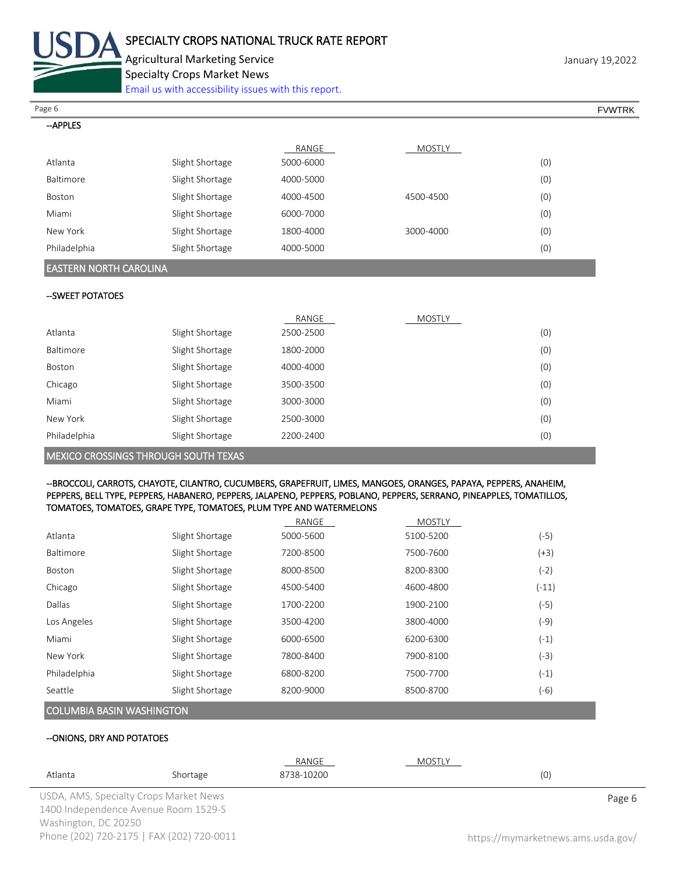

Agricultural Marketing Service **Marketing Service** January 19,2022 Specialty Crops Market News

[Email us with accessibility issues with this report.](mailto:mars@ams.usda.gov?subject=508%20Inquiry/Report)

Page 6 FVWTRK

| <b>APPI</b> |  |
|-------------|--|
|             |  |

|                  |                 | RANGE     | <b>MOSTLY</b> |     |
|------------------|-----------------|-----------|---------------|-----|
| Atlanta          | Slight Shortage | 5000-6000 |               | (0) |
| <b>Baltimore</b> | Slight Shortage | 4000-5000 |               | (0) |
| Boston           | Slight Shortage | 4000-4500 | 4500-4500     | (0) |
| Miami            | Slight Shortage | 6000-7000 |               | (0) |
| New York         | Slight Shortage | 1800-4000 | 3000-4000     | (0) |
| Philadelphia     | Slight Shortage | 4000-5000 |               | (0) |

## EASTERN NORTH CAROLINA

#### --SWEET POTATOES

|                                      |                 | RANGE     | <b>MOSTLY</b> |     |
|--------------------------------------|-----------------|-----------|---------------|-----|
| Atlanta                              | Slight Shortage | 2500-2500 |               | (0) |
| Baltimore                            | Slight Shortage | 1800-2000 |               | (0) |
| Boston                               | Slight Shortage | 4000-4000 |               | (0) |
| Chicago                              | Slight Shortage | 3500-3500 |               | (0) |
| Miami                                | Slight Shortage | 3000-3000 |               | (0) |
| New York                             | Slight Shortage | 2500-3000 |               | (0) |
| Philadelphia                         | Slight Shortage | 2200-2400 |               | (0) |
| MEXICO CROSSINGS THROUGH SOUTH TEXAS |                 |           |               |     |

#### --BROCCOLI, CARROTS, CHAYOTE, CILANTRO, CUCUMBERS, GRAPEFRUIT, LIMES, MANGOES, ORANGES, PAPAYA, PEPPERS, ANAHEIM, PEPPERS, BELL TYPE, PEPPERS, HABANERO, PEPPERS, JALAPENO, PEPPERS, POBLANO, PEPPERS, SERRANO, PINEAPPLES, TOMATILLOS, TOMATOES, TOMATOES, GRAPE TYPE, TOMATOES, PLUM TYPE AND WATERMELONS

|              |                 | RANGE     | <b>MOSTLY</b> |         |
|--------------|-----------------|-----------|---------------|---------|
| Atlanta      | Slight Shortage | 5000-5600 | 5100-5200     | $(-5)$  |
| Baltimore    | Slight Shortage | 7200-8500 | 7500-7600     | $(+3)$  |
| Boston       | Slight Shortage | 8000-8500 | 8200-8300     | $(-2)$  |
| Chicago      | Slight Shortage | 4500-5400 | 4600-4800     | $(-11)$ |
| Dallas       | Slight Shortage | 1700-2200 | 1900-2100     | (-5)    |
| Los Angeles  | Slight Shortage | 3500-4200 | 3800-4000     | (-9)    |
| Miami        | Slight Shortage | 6000-6500 | 6200-6300     | $(-1)$  |
| New York     | Slight Shortage | 7800-8400 | 7900-8100     | (-3)    |
| Philadelphia | Slight Shortage | 6800-8200 | 7500-7700     | $(-1)$  |
| Seattle      | Slight Shortage | 8200-9000 | 8500-8700     | (-6)    |
|              |                 |           |               |         |

## COLUMBIA BASIN WASHINGTON

#### --ONIONS, DRY AND POTATOES

|                      |                                           | RANGE      | MOSTLY |                                    |
|----------------------|-------------------------------------------|------------|--------|------------------------------------|
| Atlanta              | Shortage                                  | 8738-10200 |        | (0)                                |
|                      | USDA, AMS, Specialty Crops Market News    |            |        | Page 6                             |
|                      | 1400 Independence Avenue Room 1529-S      |            |        |                                    |
| Washington, DC 20250 |                                           |            |        |                                    |
|                      | Phone (202) 720-2175   FAX (202) 720-0011 |            |        | https://mymarketnews.ams.usda.gov/ |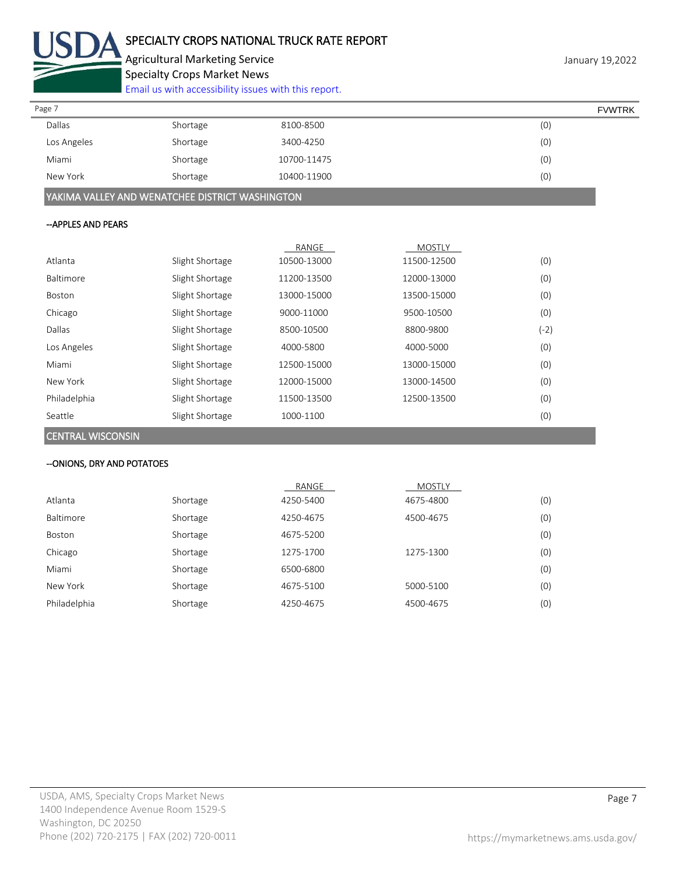

Agricultural Marketing Service **Marketing Service** January 19,2022 Specialty Crops Market News

[Email us with accessibility issues with this report.](mailto:mars@ams.usda.gov?subject=508%20Inquiry/Report)

| Page 7        |          |             | <b>FVWTRK</b> |
|---------------|----------|-------------|---------------|
| <b>Dallas</b> | Shortage | 8100-8500   | (0)           |
| Los Angeles   | Shortage | 3400-4250   | (0)           |
| Miami         | Shortage | 10700-11475 | (0)           |
| New York      | Shortage | 10400-11900 | (0)           |

YAKIMA VALLEY AND WENATCHEE DISTRICT WASHINGTON

## --APPLES AND PEARS

|               |                 | RANGE       | <b>MOSTLY</b> |        |
|---------------|-----------------|-------------|---------------|--------|
| Atlanta       | Slight Shortage | 10500-13000 | 11500-12500   | (0)    |
| Baltimore     | Slight Shortage | 11200-13500 | 12000-13000   | (0)    |
| <b>Boston</b> | Slight Shortage | 13000-15000 | 13500-15000   | (0)    |
| Chicago       | Slight Shortage | 9000-11000  | 9500-10500    | (0)    |
| Dallas        | Slight Shortage | 8500-10500  | 8800-9800     | $(-2)$ |
| Los Angeles   | Slight Shortage | 4000-5800   | 4000-5000     | (0)    |
| Miami         | Slight Shortage | 12500-15000 | 13000-15000   | (0)    |
| New York      | Slight Shortage | 12000-15000 | 13000-14500   | (0)    |
| Philadelphia  | Slight Shortage | 11500-13500 | 12500-13500   | (0)    |
| Seattle       | Slight Shortage | 1000-1100   |               | (0)    |

CENTRAL WISCONSIN

## --ONIONS, DRY AND POTATOES

|              |          | RANGE     | MOSTLY    |     |
|--------------|----------|-----------|-----------|-----|
| Atlanta      | Shortage | 4250-5400 | 4675-4800 | (0) |
| Baltimore    | Shortage | 4250-4675 | 4500-4675 | (0) |
| Boston       | Shortage | 4675-5200 |           | (0) |
| Chicago      | Shortage | 1275-1700 | 1275-1300 | (0) |
| Miami        | Shortage | 6500-6800 |           | (0) |
| New York     | Shortage | 4675-5100 | 5000-5100 | (0) |
| Philadelphia | Shortage | 4250-4675 | 4500-4675 | (0) |